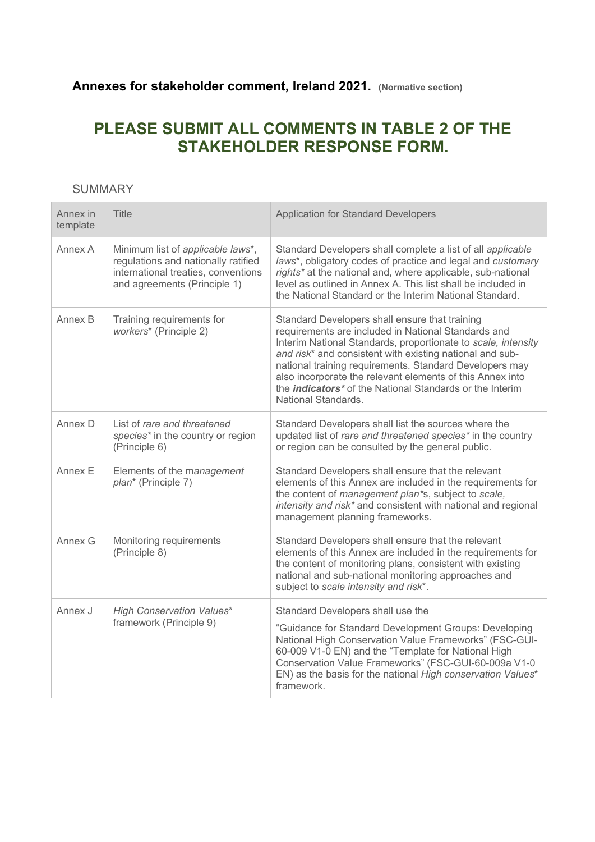## **Annexes for stakeholder comment, Ireland 2021. (Normative section)**

# **PLEASE SUBMIT ALL COMMENTS IN TABLE 2 OF THE STAKEHOLDER RESPONSE FORM.**

### SUMMARY

| Annex in<br>template | <b>Title</b>                                                                                                                                    | <b>Application for Standard Developers</b>                                                                                                                                                                                                                                                                                                                                                                                                                       |
|----------------------|-------------------------------------------------------------------------------------------------------------------------------------------------|------------------------------------------------------------------------------------------------------------------------------------------------------------------------------------------------------------------------------------------------------------------------------------------------------------------------------------------------------------------------------------------------------------------------------------------------------------------|
| Annex A              | Minimum list of applicable laws*,<br>regulations and nationally ratified<br>international treaties, conventions<br>and agreements (Principle 1) | Standard Developers shall complete a list of all applicable<br>laws*, obligatory codes of practice and legal and customary<br>rights* at the national and, where applicable, sub-national<br>level as outlined in Annex A. This list shall be included in<br>the National Standard or the Interim National Standard.                                                                                                                                             |
| Annex B              | Training requirements for<br>workers* (Principle 2)                                                                                             | Standard Developers shall ensure that training<br>requirements are included in National Standards and<br>Interim National Standards, proportionate to scale, intensity<br>and risk* and consistent with existing national and sub-<br>national training requirements. Standard Developers may<br>also incorporate the relevant elements of this Annex into<br>the <i>indicators</i> <sup>*</sup> of the National Standards or the Interim<br>National Standards. |
| Annex D              | List of rare and threatened<br>species* in the country or region<br>(Principle 6)                                                               | Standard Developers shall list the sources where the<br>updated list of rare and threatened species* in the country<br>or region can be consulted by the general public.                                                                                                                                                                                                                                                                                         |
| Annex E              | Elements of the management<br>plan* (Principle 7)                                                                                               | Standard Developers shall ensure that the relevant<br>elements of this Annex are included in the requirements for<br>the content of management plan*s, subject to scale,<br>intensity and risk* and consistent with national and regional<br>management planning frameworks.                                                                                                                                                                                     |
| Annex G              | Monitoring requirements<br>(Principle 8)                                                                                                        | Standard Developers shall ensure that the relevant<br>elements of this Annex are included in the requirements for<br>the content of monitoring plans, consistent with existing<br>national and sub-national monitoring approaches and<br>subject to scale intensity and risk*.                                                                                                                                                                                   |
| Annex J              | <b>High Conservation Values*</b><br>framework (Principle 9)                                                                                     | Standard Developers shall use the<br>"Guidance for Standard Development Groups: Developing<br>National High Conservation Value Frameworks" (FSC-GUI-<br>60-009 V1-0 EN) and the "Template for National High<br>Conservation Value Frameworks" (FSC-GUI-60-009a V1-0<br>EN) as the basis for the national High conservation Values*<br>framework.                                                                                                                 |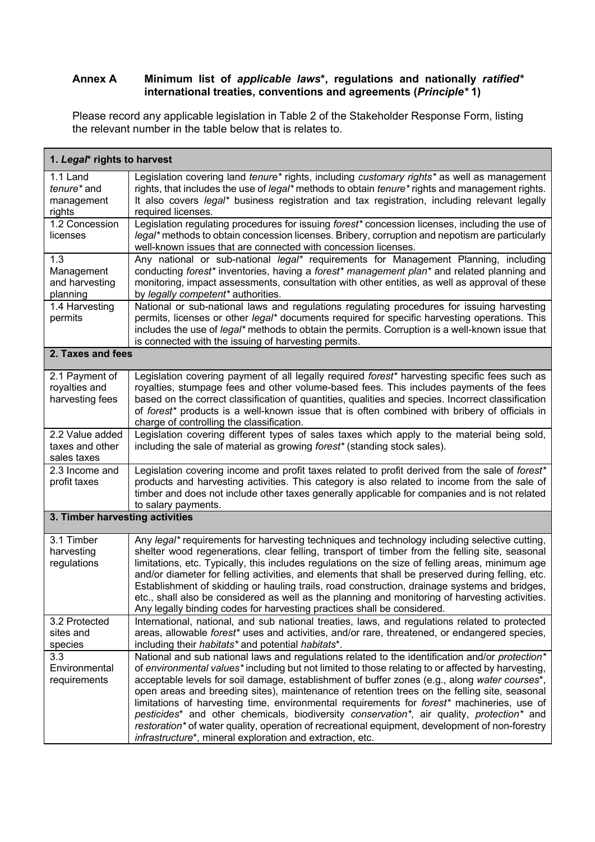#### **Annex A Minimum list of** *applicable laws***\*, regulations and nationally** *ratified\** **international treaties, conventions and agreements (***Principle\** **1)**

Please record any applicable legislation in Table 2 of the Stakeholder Response Form, listing the relevant number in the table below that is relates to.

| 1. Legal* rights to harvest                        |                                                                                                                                                                                                                                                                                                                                                                                                                                                                                                                                                                                                                                                                                                                                                                               |  |
|----------------------------------------------------|-------------------------------------------------------------------------------------------------------------------------------------------------------------------------------------------------------------------------------------------------------------------------------------------------------------------------------------------------------------------------------------------------------------------------------------------------------------------------------------------------------------------------------------------------------------------------------------------------------------------------------------------------------------------------------------------------------------------------------------------------------------------------------|--|
| 1.1 Land<br>tenure* and<br>management<br>rights    | Legislation covering land tenure* rights, including customary rights* as well as management<br>rights, that includes the use of legal* methods to obtain <i>tenure</i> * rights and management rights.<br>It also covers legal* business registration and tax registration, including relevant legally<br>required licenses.                                                                                                                                                                                                                                                                                                                                                                                                                                                  |  |
| 1.2 Concession<br>licenses                         | Legislation regulating procedures for issuing forest* concession licenses, including the use of<br>legal* methods to obtain concession licenses. Bribery, corruption and nepotism are particularly<br>well-known issues that are connected with concession licenses.                                                                                                                                                                                                                                                                                                                                                                                                                                                                                                          |  |
| 1.3<br>Management<br>and harvesting<br>planning    | Any national or sub-national legal* requirements for Management Planning, including<br>conducting forest* inventories, having a forest* management plan* and related planning and<br>monitoring, impact assessments, consultation with other entities, as well as approval of these<br>by legally competent* authorities.                                                                                                                                                                                                                                                                                                                                                                                                                                                     |  |
| 1.4 Harvesting<br>permits                          | National or sub-national laws and regulations regulating procedures for issuing harvesting<br>permits, licenses or other legal* documents required for specific harvesting operations. This<br>includes the use of legal* methods to obtain the permits. Corruption is a well-known issue that<br>is connected with the issuing of harvesting permits.                                                                                                                                                                                                                                                                                                                                                                                                                        |  |
| 2. Taxes and fees                                  |                                                                                                                                                                                                                                                                                                                                                                                                                                                                                                                                                                                                                                                                                                                                                                               |  |
| 2.1 Payment of<br>royalties and<br>harvesting fees | Legislation covering payment of all legally required forest* harvesting specific fees such as<br>royalties, stumpage fees and other volume-based fees. This includes payments of the fees<br>based on the correct classification of quantities, qualities and species. Incorrect classification<br>of forest <sup>*</sup> products is a well-known issue that is often combined with bribery of officials in<br>charge of controlling the classification.                                                                                                                                                                                                                                                                                                                     |  |
| 2.2 Value added<br>taxes and other<br>sales taxes  | Legislation covering different types of sales taxes which apply to the material being sold,<br>including the sale of material as growing forest* (standing stock sales).                                                                                                                                                                                                                                                                                                                                                                                                                                                                                                                                                                                                      |  |
| 2.3 Income and<br>profit taxes                     | Legislation covering income and profit taxes related to profit derived from the sale of forest*<br>products and harvesting activities. This category is also related to income from the sale of<br>timber and does not include other taxes generally applicable for companies and is not related<br>to salary payments.                                                                                                                                                                                                                                                                                                                                                                                                                                                       |  |
| 3. Timber harvesting activities                    |                                                                                                                                                                                                                                                                                                                                                                                                                                                                                                                                                                                                                                                                                                                                                                               |  |
| 3.1 Timber<br>harvesting<br>regulations            | Any legal* requirements for harvesting techniques and technology including selective cutting,<br>shelter wood regenerations, clear felling, transport of timber from the felling site, seasonal<br>limitations, etc. Typically, this includes regulations on the size of felling areas, minimum age<br>and/or diameter for felling activities, and elements that shall be preserved during felling, etc.<br>Establishment of skidding or hauling trails, road construction, drainage systems and bridges,<br>etc., shall also be considered as well as the planning and monitoring of harvesting activities.<br>Any legally binding codes for harvesting practices shall be considered.                                                                                       |  |
| 3.2 Protected<br>sites and<br>species              | International, national, and sub national treaties, laws, and regulations related to protected<br>areas, allowable forest* uses and activities, and/or rare, threatened, or endangered species,<br>including their habitats* and potential habitats*.                                                                                                                                                                                                                                                                                                                                                                                                                                                                                                                         |  |
| 3.3<br>Environmental<br>requirements               | National and sub national laws and regulations related to the identification and/or protection*<br>of environmental values* including but not limited to those relating to or affected by harvesting,<br>acceptable levels for soil damage, establishment of buffer zones (e.g., along water courses*,<br>open areas and breeding sites), maintenance of retention trees on the felling site, seasonal<br>limitations of harvesting time, environmental requirements for forest* machineries, use of<br>pesticides* and other chemicals, biodiversity conservation*, air quality, protection* and<br>restoration <sup>*</sup> of water quality, operation of recreational equipment, development of non-forestry<br>infrastructure*, mineral exploration and extraction, etc. |  |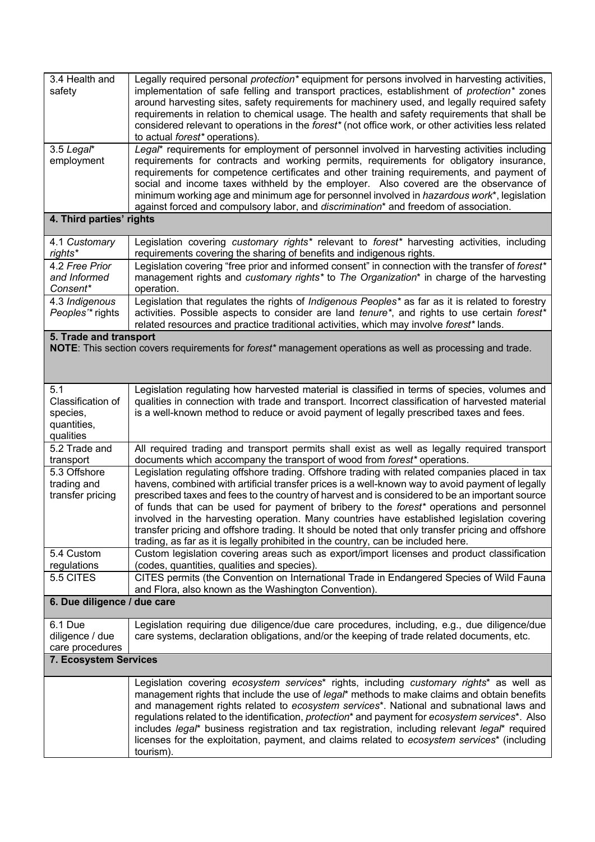| 3.4 Health and<br>safety                                                                                                            | Legally required personal <i>protection</i> * equipment for persons involved in harvesting activities,<br>implementation of safe felling and transport practices, establishment of protection* zones<br>around harvesting sites, safety requirements for machinery used, and legally required safety<br>requirements in relation to chemical usage. The health and safety requirements that shall be<br>considered relevant to operations in the forest* (not office work, or other activities less related<br>to actual forest* operations).                                                                                                                                             |  |  |
|-------------------------------------------------------------------------------------------------------------------------------------|-------------------------------------------------------------------------------------------------------------------------------------------------------------------------------------------------------------------------------------------------------------------------------------------------------------------------------------------------------------------------------------------------------------------------------------------------------------------------------------------------------------------------------------------------------------------------------------------------------------------------------------------------------------------------------------------|--|--|
| 3.5 Legal*<br>employment                                                                                                            | Legal* requirements for employment of personnel involved in harvesting activities including<br>requirements for contracts and working permits, requirements for obligatory insurance,<br>requirements for competence certificates and other training requirements, and payment of<br>social and income taxes withheld by the employer. Also covered are the observance of<br>minimum working age and minimum age for personnel involved in hazardous work*, legislation<br>against forced and compulsory labor, and discrimination* and freedom of association.                                                                                                                           |  |  |
| 4. Third parties' rights                                                                                                            |                                                                                                                                                                                                                                                                                                                                                                                                                                                                                                                                                                                                                                                                                           |  |  |
| 4.1 Customary<br>rights*                                                                                                            | Legislation covering customary rights* relevant to forest* harvesting activities, including<br>requirements covering the sharing of benefits and indigenous rights.                                                                                                                                                                                                                                                                                                                                                                                                                                                                                                                       |  |  |
| 4.2 Free Prior<br>and Informed<br>Consent*                                                                                          | Legislation covering "free prior and informed consent" in connection with the transfer of forest*<br>management rights and customary rights* to The Organization* in charge of the harvesting<br>operation.                                                                                                                                                                                                                                                                                                                                                                                                                                                                               |  |  |
| 4.3 Indigenous<br>Peoples'* rights                                                                                                  | Legislation that regulates the rights of Indigenous Peoples* as far as it is related to forestry<br>activities. Possible aspects to consider are land tenure*, and rights to use certain forest*<br>related resources and practice traditional activities, which may involve forest* lands.                                                                                                                                                                                                                                                                                                                                                                                               |  |  |
| 5. Trade and transport<br>NOTE: This section covers requirements for forest* management operations as well as processing and trade. |                                                                                                                                                                                                                                                                                                                                                                                                                                                                                                                                                                                                                                                                                           |  |  |
| 5.1<br>Classification of<br>species,<br>quantities,<br>qualities                                                                    | Legislation regulating how harvested material is classified in terms of species, volumes and<br>qualities in connection with trade and transport. Incorrect classification of harvested material<br>is a well-known method to reduce or avoid payment of legally prescribed taxes and fees.                                                                                                                                                                                                                                                                                                                                                                                               |  |  |
| 5.2 Trade and<br>transport                                                                                                          | All required trading and transport permits shall exist as well as legally required transport<br>documents which accompany the transport of wood from forest* operations.                                                                                                                                                                                                                                                                                                                                                                                                                                                                                                                  |  |  |
| 5.3 Offshore<br>trading and<br>transfer pricing                                                                                     | Legislation regulating offshore trading. Offshore trading with related companies placed in tax<br>havens, combined with artificial transfer prices is a well-known way to avoid payment of legally<br>prescribed taxes and fees to the country of harvest and is considered to be an important source<br>of funds that can be used for payment of bribery to the forest* operations and personnel<br>involved in the harvesting operation. Many countries have established legislation covering<br>transfer pricing and offshore trading. It should be noted that only transfer pricing and offshore<br>trading, as far as it is legally prohibited in the country, can be included here. |  |  |
| 5.4 Custom<br>regulations                                                                                                           | Custom legislation covering areas such as export/import licenses and product classification<br>(codes, quantities, qualities and species).                                                                                                                                                                                                                                                                                                                                                                                                                                                                                                                                                |  |  |
| 5.5 CITES                                                                                                                           | CITES permits (the Convention on International Trade in Endangered Species of Wild Fauna<br>and Flora, also known as the Washington Convention).                                                                                                                                                                                                                                                                                                                                                                                                                                                                                                                                          |  |  |
| 6. Due diligence / due care                                                                                                         |                                                                                                                                                                                                                                                                                                                                                                                                                                                                                                                                                                                                                                                                                           |  |  |
| 6.1 Due<br>diligence / due<br>care procedures                                                                                       | Legislation requiring due diligence/due care procedures, including, e.g., due diligence/due<br>care systems, declaration obligations, and/or the keeping of trade related documents, etc.                                                                                                                                                                                                                                                                                                                                                                                                                                                                                                 |  |  |
| 7. Ecosystem Services                                                                                                               |                                                                                                                                                                                                                                                                                                                                                                                                                                                                                                                                                                                                                                                                                           |  |  |
|                                                                                                                                     | Legislation covering ecosystem services* rights, including customary rights* as well as<br>management rights that include the use of legal* methods to make claims and obtain benefits<br>and management rights related to ecosystem services*. National and subnational laws and<br>regulations related to the identification, protection* and payment for ecosystem services*. Also<br>includes legal* business registration and tax registration, including relevant legal* required<br>licenses for the exploitation, payment, and claims related to ecosystem services* (including<br>tourism).                                                                                      |  |  |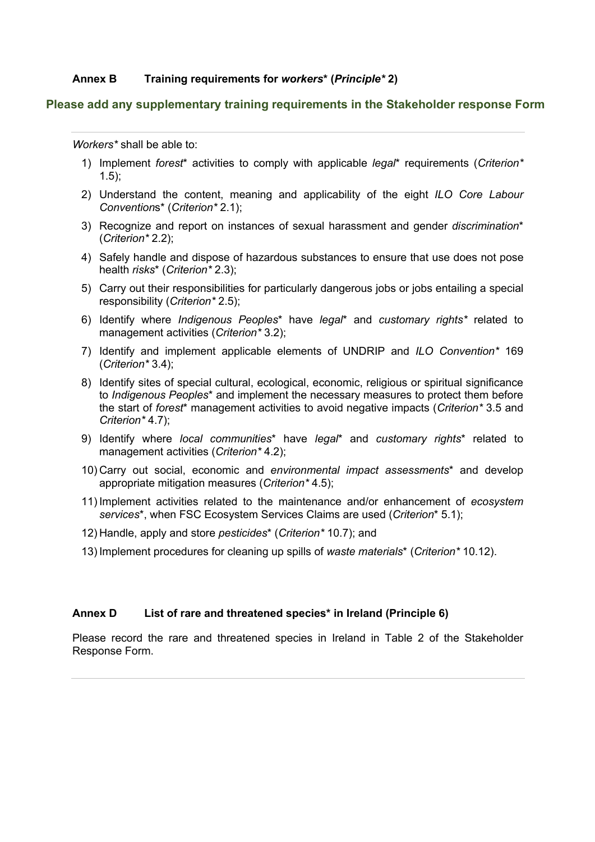#### **Annex B Training requirements for** *workers***\* (***Principle\** **2)**

#### **Please add any supplementary training requirements in the Stakeholder response Form**

*Workers\** shall be able to:

- 1) Implement *forest*\* activities to comply with applicable *legal*\* requirements (*Criterion\** 1.5);
- 2) Understand the content, meaning and applicability of the eight *ILO Core Labour Convention*s\* (*Criterion\** 2.1);
- 3) Recognize and report on instances of sexual harassment and gender *discrimination*\* (*Criterion\** 2.2);
- 4) Safely handle and dispose of hazardous substances to ensure that use does not pose health *risks*\* (*Criterion\** 2.3);
- 5) Carry out their responsibilities for particularly dangerous jobs or jobs entailing a special responsibility (*Criterion\** 2.5);
- 6) Identify where *Indigenous Peoples*\* have *legal*\* and *customary rights\** related to management activities (*Criterion\** 3.2);
- 7) Identify and implement applicable elements of UNDRIP and *ILO Convention\** 169 (*Criterion\** 3.4);
- 8) Identify sites of special cultural, ecological, economic, religious or spiritual significance to *Indigenous Peoples*\* and implement the necessary measures to protect them before the start of *forest*\* management activities to avoid negative impacts (*Criterion\** 3.5 and *Criterion\** 4.7);
- 9) Identify where *local communities*\* have *legal*\* and *customary rights*\* related to management activities (*Criterion\** 4.2);
- 10) Carry out social, economic and *environmental impact assessments*\* and develop appropriate mitigation measures (*Criterion\** 4.5);
- 11) Implement activities related to the maintenance and/or enhancement of *ecosystem services*\*, when FSC Ecosystem Services Claims are used (*Criterion*\* 5.1);
- 12) Handle, apply and store *pesticides*\* (*Criterion\** 10.7); and
- 13) Implement procedures for cleaning up spills of *waste materials*\* (*Criterion\** 10.12).

#### **Annex D List of rare and threatened species\* in Ireland (Principle 6)**

Please record the rare and threatened species in Ireland in Table 2 of the Stakeholder Response Form.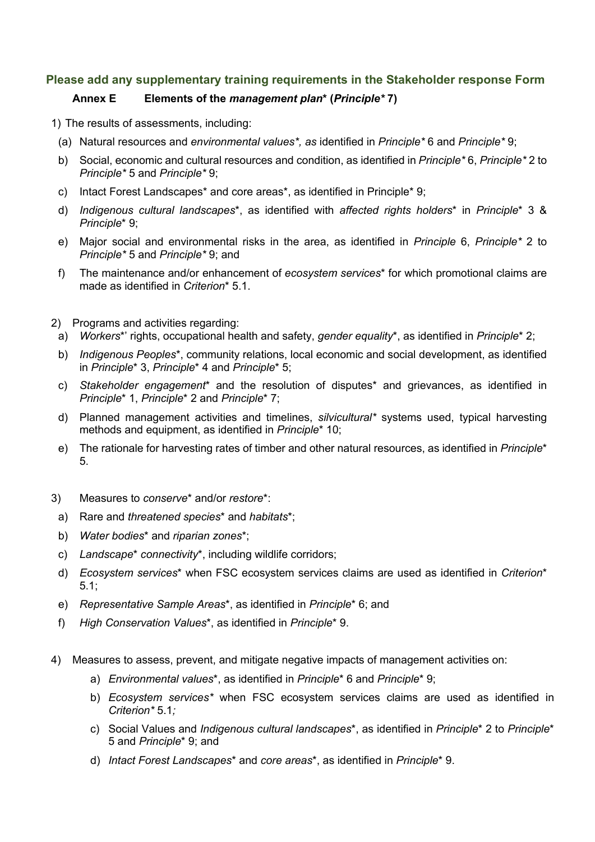# **Please add any supplementary training requirements in the Stakeholder response Form**

## **Annex E Elements of the** *management plan***\* (***Principle\** **7)**

- 1) The results of assessments, including:
	- (a) Natural resources and *environmental values\*, as* identified in *Principle\** 6 and *Principle\** 9;
	- b) Social, economic and cultural resources and condition, as identified in *Principle\** 6, *Principle\** 2 to *Principle\** 5 and *Principle\** 9;
	- c) Intact Forest Landscapes\* and core areas\*, as identified in Principle\* 9;
	- d) *Indigenous cultural landscapes*\*, as identified with *affected rights holders*\* in *Principle*\* 3 & *Principle*\* 9;
	- e) Major social and environmental risks in the area, as identified in *Principle* 6, *Principle\** 2 to *Principle\** 5 and *Principle\** 9; and
	- f) The maintenance and/or enhancement of *ecosystem services*\* for which promotional claims are made as identified in *Criterion*\* 5.1.
- 2) Programs and activities regarding:
- a) *Workers*\*' rights, occupational health and safety, *gender equality*\*, as identified in *Principle*\* 2;
- b) *Indigenous Peoples*\*, community relations, local economic and social development, as identified in *Principle*\* 3, *Principle*\* 4 and *Principle*\* 5;
- c) *Stakeholder engagement*\* and the resolution of disputes\* and grievances, as identified in *Principle*\* 1, *Principle*\* 2 and *Principle*\* 7;
- d) Planned management activities and timelines, *silvicultural\** systems used, typical harvesting methods and equipment, as identified in *Principle*\* 10;
- e) The rationale for harvesting rates of timber and other natural resources, as identified in *Principle*\* 5.
- 3) Measures to *conserve*\* and/or *restore*\*:
- a) Rare and *threatened species*\* and *habitats*\*;
- b) *Water bodies*\* and *riparian zones*\*;
- c) *Landscape*\* *connectivity*\*, including wildlife corridors;
- d) *Ecosystem services*\* when FSC ecosystem services claims are used as identified in *Criterion*\* 5.1;
- e) *Representative Sample Areas*\*, as identified in *Principle*\* 6; and
- f) *High Conservation Values*\*, as identified in *Principle*\* 9.
- 4) Measures to assess, prevent, and mitigate negative impacts of management activities on:
	- a) *Environmental values*\*, as identified in *Principle*\* 6 and *Principle*\* 9;
	- b) *Ecosystem services\** when FSC ecosystem services claims are used as identified in *Criterion\** 5.1*;*
	- c) Social Values and *Indigenous cultural landscapes*\*, as identified in *Principle*\* 2 to *Principle*\* 5 and *Principle*\* 9; and
	- d) *Intact Forest Landscapes*\* and *core areas*\*, as identified in *Principle*\* 9.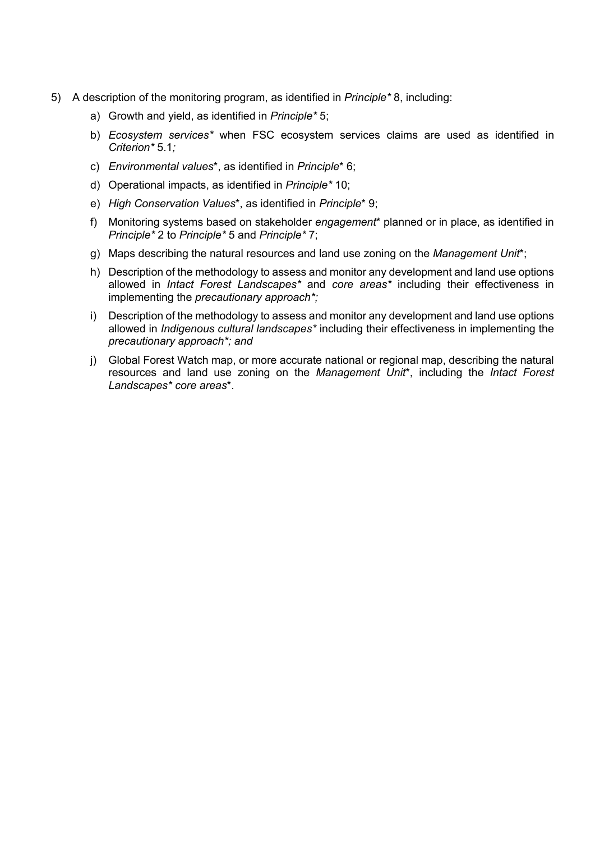- 5) A description of the monitoring program, as identified in *Principle\** 8, including:
	- a) Growth and yield, as identified in *Principle\** 5;
	- b) *Ecosystem services\** when FSC ecosystem services claims are used as identified in *Criterion\** 5.1*;*
	- c) *Environmental values*\*, as identified in *Principle*\* 6;
	- d) Operational impacts, as identified in *Principle\** 10;
	- e) *High Conservation Values*\*, as identified in *Principle*\* 9;
	- f) Monitoring systems based on stakeholder *engagement*\* planned or in place, as identified in *Principle\** 2 to *Principle\** 5 and *Principle\** 7;
	- g) Maps describing the natural resources and land use zoning on the *Management Unit*\*;
	- h) Description of the methodology to assess and monitor any development and land use options allowed in *Intact Forest Landscapes\** and *core areas\** including their effectiveness in implementing the *precautionary approach\*;*
	- i) Description of the methodology to assess and monitor any development and land use options allowed in *Indigenous cultural landscapes\** including their effectiveness in implementing the *precautionary approach\*; and*
	- j) Global Forest Watch map, or more accurate national or regional map, describing the natural resources and land use zoning on the *Management Unit*\*, including the *Intact Forest Landscapes\* core areas*\*.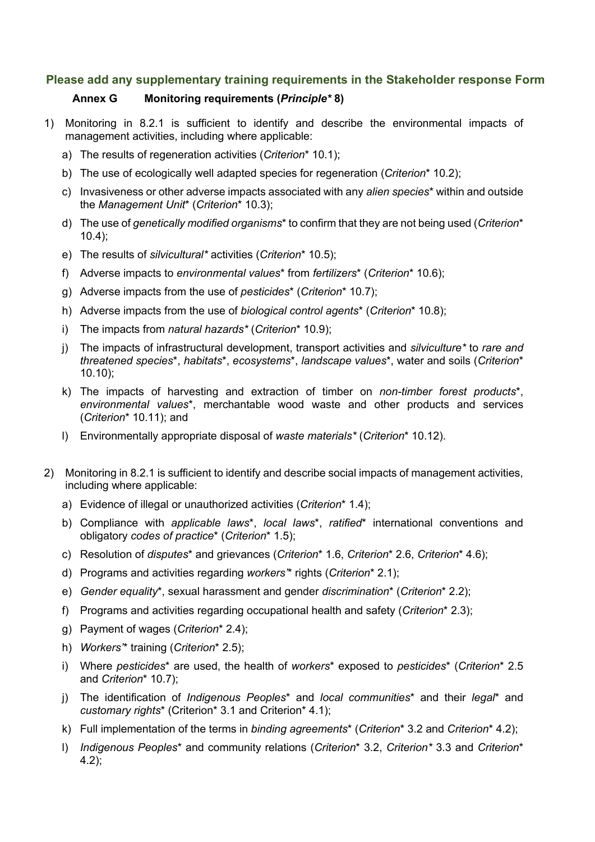#### **Please add any supplementary training requirements in the Stakeholder response Form**

### **Annex G Monitoring requirements (***Principle\** **8)**

- 1) Monitoring in 8.2.1 is sufficient to identify and describe the environmental impacts of management activities, including where applicable:
	- a) The results of regeneration activities (*Criterion*\* 10.1);
	- b) The use of ecologically well adapted species for regeneration (*Criterion*\* 10.2);
	- c) Invasiveness or other adverse impacts associated with any *alien species*\* within and outside the *Management Unit*\* (*Criterion*\* 10.3);
	- d) The use of *genetically modified organisms*\* to confirm that they are not being used (*Criterion*\* 10.4);
	- e) The results of *silvicultural\** activities (*Criterion*\* 10.5);
	- f) Adverse impacts to *environmental values*\* from *fertilizers*\* (*Criterion*\* 10.6);
	- g) Adverse impacts from the use of *pesticides*\* (*Criterion*\* 10.7);
	- h) Adverse impacts from the use of *biological control agents*\* (*Criterion*\* 10.8);
	- i) The impacts from *natural hazards\** (*Criterion*\* 10.9);
	- j) The impacts of infrastructural development, transport activities and *silviculture\** to *rare and threatened species*\*, *habitats*\*, *ecosystems*\*, *landscape values*\*, water and soils (*Criterion*\* 10.10);
	- k) The impacts of harvesting and extraction of timber on *non-timber forest products*\*, *environmental values*\*, merchantable wood waste and other products and services (*Criterion*\* 10.11); and
	- l) Environmentally appropriate disposal of *waste materials\** (*Criterion*\* 10.12).
- 2) Monitoring in 8.2.1 is sufficient to identify and describe social impacts of management activities, including where applicable:
	- a) Evidence of illegal or unauthorized activities (*Criterion*\* 1.4);
	- b) Compliance with *applicable laws*\*, *local laws*\*, *ratified*\* international conventions and obligatory *codes of practice*\* (*Criterion*\* 1.5);
	- c) Resolution of *disputes*\* and grievances (*Criterion*\* 1.6, *Criterion*\* 2.6, *Criterion*\* 4.6);
	- d) Programs and activities regarding *workers'*\* rights (*Criterion*\* 2.1);
	- e) *Gender equality*\*, sexual harassment and gender *discrimination*\* (*Criterion*\* 2.2);
	- f) Programs and activities regarding occupational health and safety (*Criterion*\* 2.3);
	- g) Payment of wages (*Criterion*\* 2.4);
	- h) *Workers'*\* training (*Criterion*\* 2.5);
	- i) Where *pesticides*\* are used, the health of *workers*\* exposed to *pesticides*\* (*Criterion*\* 2.5 and *Criterion*\* 10.7);
	- j) The identification of *Indigenous Peoples*\* and *local communities*\* and their *legal*\* and *customary rights*\* (Criterion\* 3.1 and Criterion\* 4.1);
	- k) Full implementation of the terms in *binding agreements*\* (*Criterion*\* 3.2 and *Criterion*\* 4.2);
	- l) *Indigenous Peoples*\* and community relations (*Criterion*\* 3.2, *Criterion\** 3.3 and *Criterion*\* 4.2);